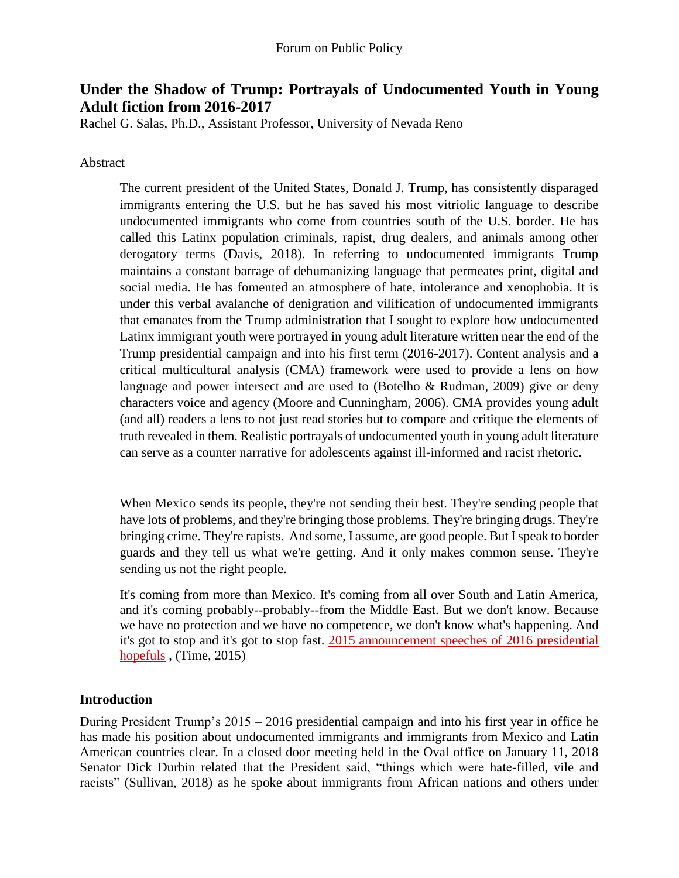# **Under the Shadow of Trump: Portrayals of Undocumented Youth in Young Adult fiction from 2016-2017**

Rachel G. Salas, Ph.D., Assistant Professor, University of Nevada Reno

### Abstract

The current president of the United States, Donald J. Trump, has consistently disparaged immigrants entering the U.S. but he has saved his most vitriolic language to describe undocumented immigrants who come from countries south of the U.S. border. He has called this Latinx population criminals, rapist, drug dealers, and animals among other derogatory terms (Davis, 2018). In referring to undocumented immigrants Trump maintains a constant barrage of dehumanizing language that permeates print, digital and social media. He has fomented an atmosphere of hate, intolerance and xenophobia. It is under this verbal avalanche of denigration and vilification of undocumented immigrants that emanates from the Trump administration that I sought to explore how undocumented Latinx immigrant youth were portrayed in young adult literature written near the end of the Trump presidential campaign and into his first term (2016-2017). Content analysis and a critical multicultural analysis (CMA) framework were used to provide a lens on how language and power intersect and are used to (Botelho  $& Rudman, 2009$ ) give or deny characters voice and agency (Moore and Cunningham, 2006). CMA provides young adult (and all) readers a lens to not just read stories but to compare and critique the elements of truth revealed in them. Realistic portrayals of undocumented youth in young adult literature can serve as a counter narrative for adolescents against ill-informed and racist rhetoric.

When Mexico sends its people, they're not sending their best. They're sending people that have lots of problems, and they're bringing those problems. They're bringing drugs. They're bringing crime. They're rapists. And some, I assume, are good people. But I speak to border guards and they tell us what we're getting. And it only makes common sense. They're sending us not the right people.

It's coming from more than Mexico. It's coming from all over South and Latin America, and it's coming probably--probably--from the Middle East. But we don't know. Because we have no protection and we have no competence, we don't know what's happening. And it's got to stop and it's got to stop fast. [2015 announcement speeches of 2016 presidential](http://www.ontheissues.org/2015_Hopefuls.htm)   $hopefuls$ , (Time, 2015)

### **Introduction**

During President Trump's 2015 – 2016 presidential campaign and into his first year in office he has made his position about undocumented immigrants and immigrants from Mexico and Latin American countries clear. In a closed door meeting held in the Oval office on January 11, 2018 Senator Dick Durbin related that the President said, "things which were hate-filled, vile and racists" (Sullivan, 2018) as he spoke about immigrants from African nations and others under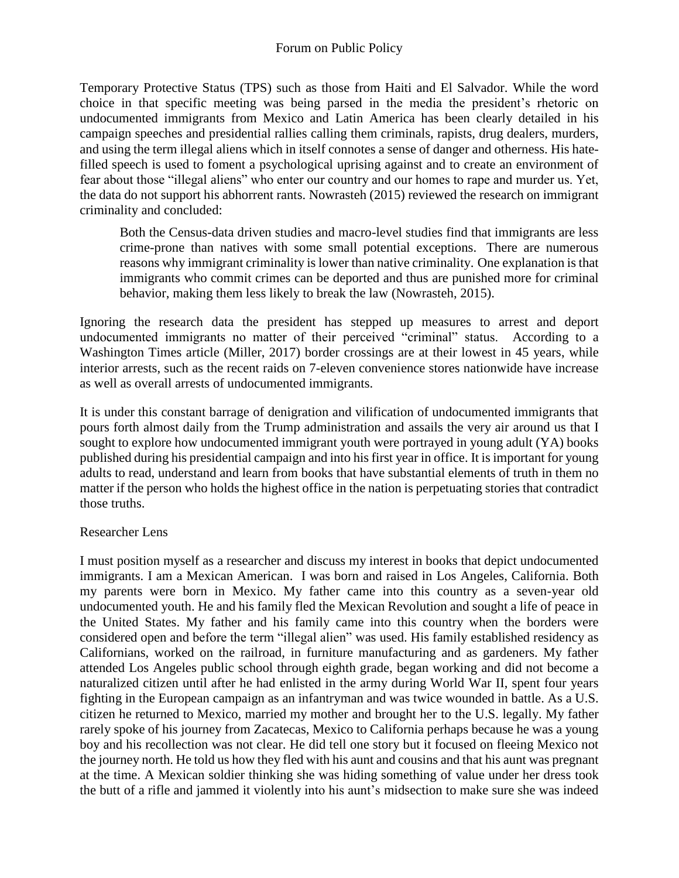Temporary Protective Status (TPS) such as those from Haiti and El Salvador. While the word choice in that specific meeting was being parsed in the media the president's rhetoric on undocumented immigrants from Mexico and Latin America has been clearly detailed in his campaign speeches and presidential rallies calling them criminals, rapists, drug dealers, murders, and using the term illegal aliens which in itself connotes a sense of danger and otherness. His hatefilled speech is used to foment a psychological uprising against and to create an environment of fear about those "illegal aliens" who enter our country and our homes to rape and murder us. Yet, the data do not support his abhorrent rants. Nowrasteh (2015) reviewed the research on immigrant criminality and concluded:

Both the Census-data driven studies and macro-level studies find that immigrants are less crime-prone than natives with some small potential exceptions. There are numerous reasons why immigrant criminality is lower than native criminality. One explanation is that immigrants who commit crimes can be deported and [thus are punished more for criminal](https://www.cato.org/publications/research-briefs-economic-policy/clicking-heavens-door-effect-immigrant-legalization)  [behavior,](https://www.cato.org/publications/research-briefs-economic-policy/clicking-heavens-door-effect-immigrant-legalization) making them less likely to break the law (Nowrasteh, 2015).

Ignoring the research data the president has stepped up measures to arrest and deport undocumented immigrants no matter of their perceived "criminal" status. According to a Washington Times article (Miller, 2017) border crossings are at their lowest in 45 years, while interior arrests, such as the recent raids on 7-eleven convenience stores nationwide have increase as well as overall arrests of undocumented immigrants.

It is under this constant barrage of denigration and vilification of undocumented immigrants that pours forth almost daily from the Trump administration and assails the very air around us that I sought to explore how undocumented immigrant youth were portrayed in young adult (YA) books published during his presidential campaign and into his first year in office. It is important for young adults to read, understand and learn from books that have substantial elements of truth in them no matter if the person who holds the highest office in the nation is perpetuating stories that contradict those truths.

# Researcher Lens

I must position myself as a researcher and discuss my interest in books that depict undocumented immigrants. I am a Mexican American. I was born and raised in Los Angeles, California. Both my parents were born in Mexico. My father came into this country as a seven-year old undocumented youth. He and his family fled the Mexican Revolution and sought a life of peace in the United States. My father and his family came into this country when the borders were considered open and before the term "illegal alien" was used. His family established residency as Californians, worked on the railroad, in furniture manufacturing and as gardeners. My father attended Los Angeles public school through eighth grade, began working and did not become a naturalized citizen until after he had enlisted in the army during World War II, spent four years fighting in the European campaign as an infantryman and was twice wounded in battle. As a U.S. citizen he returned to Mexico, married my mother and brought her to the U.S. legally. My father rarely spoke of his journey from Zacatecas, Mexico to California perhaps because he was a young boy and his recollection was not clear. He did tell one story but it focused on fleeing Mexico not the journey north. He told us how they fled with his aunt and cousins and that his aunt was pregnant at the time. A Mexican soldier thinking she was hiding something of value under her dress took the butt of a rifle and jammed it violently into his aunt's midsection to make sure she was indeed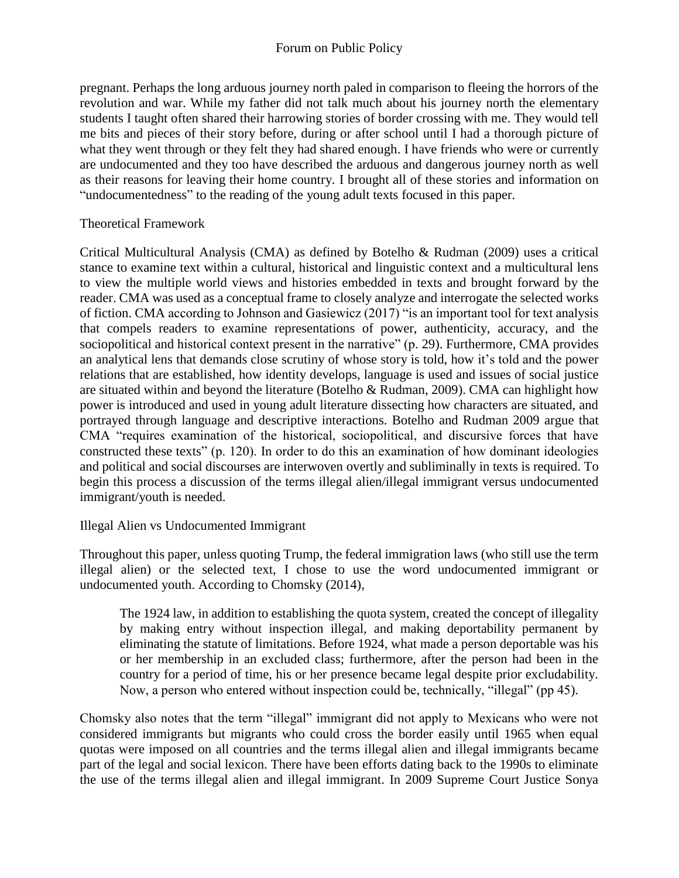pregnant. Perhaps the long arduous journey north paled in comparison to fleeing the horrors of the revolution and war. While my father did not talk much about his journey north the elementary students I taught often shared their harrowing stories of border crossing with me. They would tell me bits and pieces of their story before, during or after school until I had a thorough picture of what they went through or they felt they had shared enough. I have friends who were or currently are undocumented and they too have described the arduous and dangerous journey north as well as their reasons for leaving their home country. I brought all of these stories and information on "undocumentedness" to the reading of the young adult texts focused in this paper.

### Theoretical Framework

Critical Multicultural Analysis (CMA) as defined by Botelho & Rudman (2009) uses a critical stance to examine text within a cultural, historical and linguistic context and a multicultural lens to view the multiple world views and histories embedded in texts and brought forward by the reader. CMA was used as a conceptual frame to closely analyze and interrogate the selected works of fiction. CMA according to Johnson and Gasiewicz (2017) "is an important tool for text analysis that compels readers to examine representations of power, authenticity, accuracy, and the sociopolitical and historical context present in the narrative" (p. 29). Furthermore, CMA provides an analytical lens that demands close scrutiny of whose story is told, how it's told and the power relations that are established, how identity develops, language is used and issues of social justice are situated within and beyond the literature (Botelho & Rudman, 2009). CMA can highlight how power is introduced and used in young adult literature dissecting how characters are situated, and portrayed through language and descriptive interactions. Botelho and Rudman 2009 argue that CMA "requires examination of the historical, sociopolitical, and discursive forces that have constructed these texts" (p. 120). In order to do this an examination of how dominant ideologies and political and social discourses are interwoven overtly and subliminally in texts is required. To begin this process a discussion of the terms illegal alien/illegal immigrant versus undocumented immigrant/youth is needed.

# Illegal Alien vs Undocumented Immigrant

Throughout this paper, unless quoting Trump, the federal immigration laws (who still use the term illegal alien) or the selected text, I chose to use the word undocumented immigrant or undocumented youth. According to Chomsky (2014),

The 1924 law, in addition to establishing the quota system, created the concept of illegality by making entry without inspection illegal, and making deportability permanent by eliminating the statute of limitations. Before 1924, what made a person deportable was his or her membership in an excluded class; furthermore, after the person had been in the country for a period of time, his or her presence became legal despite prior excludability. Now, a person who entered without inspection could be, technically, "illegal" (pp 45).

Chomsky also notes that the term "illegal" immigrant did not apply to Mexicans who were not considered immigrants but migrants who could cross the border easily until 1965 when equal quotas were imposed on all countries and the terms illegal alien and illegal immigrants became part of the legal and social lexicon. There have been efforts dating back to the 1990s to eliminate the use of the terms illegal alien and illegal immigrant. In 2009 Supreme Court Justice Sonya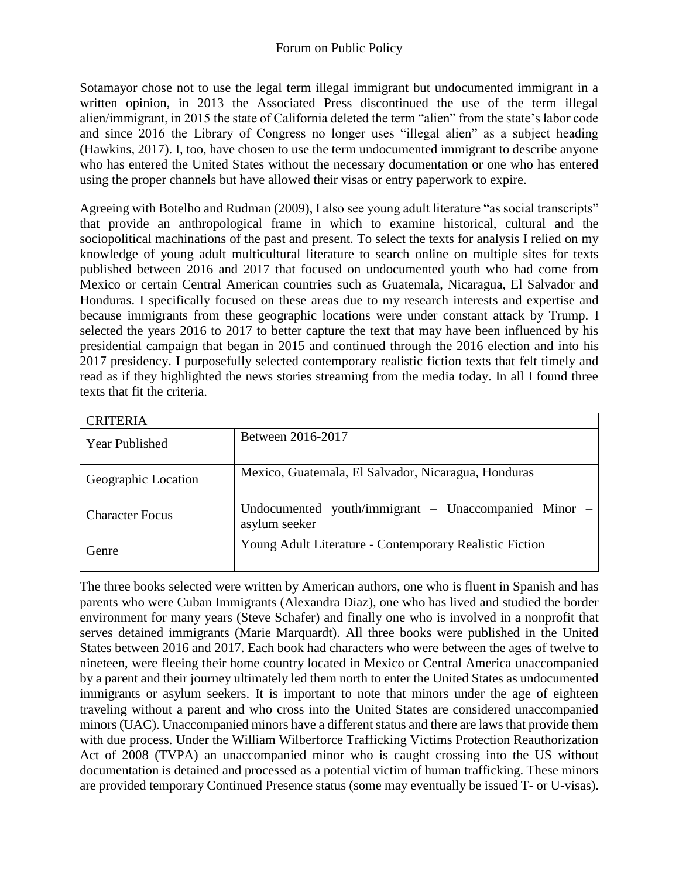Sotamayor chose not to use the legal term illegal immigrant but undocumented immigrant in a written opinion, in 2013 the Associated Press discontinued the use of the term illegal alien/immigrant, in 2015 the state of California deleted the term "alien" from the state's labor code and since 2016 the Library of Congress no longer uses "illegal alien" as a subject heading (Hawkins, 2017). I, too, have chosen to use the term undocumented immigrant to describe anyone who has entered the United States without the necessary documentation or one who has entered using the proper channels but have allowed their visas or entry paperwork to expire.

Agreeing with Botelho and Rudman (2009), I also see young adult literature "as social transcripts" that provide an anthropological frame in which to examine historical, cultural and the sociopolitical machinations of the past and present. To select the texts for analysis I relied on my knowledge of young adult multicultural literature to search online on multiple sites for texts published between 2016 and 2017 that focused on undocumented youth who had come from Mexico or certain Central American countries such as Guatemala, Nicaragua, El Salvador and Honduras. I specifically focused on these areas due to my research interests and expertise and because immigrants from these geographic locations were under constant attack by Trump. I selected the years 2016 to 2017 to better capture the text that may have been influenced by his presidential campaign that began in 2015 and continued through the 2016 election and into his 2017 presidency. I purposefully selected contemporary realistic fiction texts that felt timely and read as if they highlighted the news stories streaming from the media today. In all I found three texts that fit the criteria.

| <b>CRITERIA</b>        |                                                                       |  |
|------------------------|-----------------------------------------------------------------------|--|
| <b>Year Published</b>  | Between 2016-2017                                                     |  |
| Geographic Location    | Mexico, Guatemala, El Salvador, Nicaragua, Honduras                   |  |
| <b>Character Focus</b> | Undocumented youth/immigrant – Unaccompanied Minor –<br>asylum seeker |  |
| Genre                  | Young Adult Literature - Contemporary Realistic Fiction               |  |

The three books selected were written by American authors, one who is fluent in Spanish and has parents who were Cuban Immigrants (Alexandra Diaz), one who has lived and studied the border environment for many years (Steve Schafer) and finally one who is involved in a nonprofit that serves detained immigrants (Marie Marquardt). All three books were published in the United States between 2016 and 2017. Each book had characters who were between the ages of twelve to nineteen, were fleeing their home country located in Mexico or Central America unaccompanied by a parent and their journey ultimately led them north to enter the United States as undocumented immigrants or asylum seekers. It is important to note that minors under the age of eighteen traveling without a parent and who cross into the United States are considered unaccompanied minors (UAC). Unaccompanied minors have a different status and there are laws that provide them with due process. Under the William Wilberforce Trafficking Victims Protection Reauthorization Act of 2008 (TVPA) an unaccompanied minor who is caught crossing into the US without documentation is detained and processed as a potential victim of human trafficking. These minors are provided temporary Continued Presence status (some may eventually be issued T- or U-visas).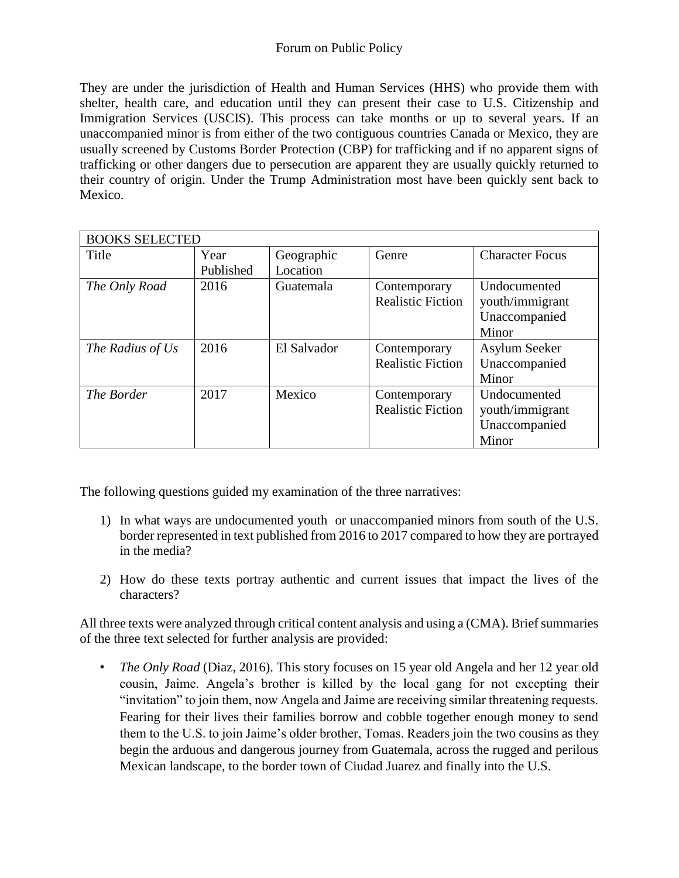They are under the jurisdiction of Health and Human Services (HHS) who provide them with shelter, health care, and education until they can present their case to U.S. Citizenship and Immigration Services (USCIS). This process can take months or up to several years. If an unaccompanied minor is from either of the two contiguous countries Canada or Mexico, they are usually screened by Customs Border Protection (CBP) for trafficking and if no apparent signs of trafficking or other dangers due to persecution are apparent they are usually quickly returned to their country of origin. Under the Trump Administration most have been quickly sent back to Mexico.

| <b>BOOKS SELECTED</b> |           |             |                          |                        |  |
|-----------------------|-----------|-------------|--------------------------|------------------------|--|
| Title                 | Year      | Geographic  | Genre                    | <b>Character Focus</b> |  |
|                       | Published | Location    |                          |                        |  |
| The Only Road         | 2016      | Guatemala   | Contemporary             | Undocumented           |  |
|                       |           |             | <b>Realistic Fiction</b> | youth/immigrant        |  |
|                       |           |             |                          | Unaccompanied          |  |
|                       |           |             |                          | Minor                  |  |
| The Radius of Us      | 2016      | El Salvador | Contemporary             | Asylum Seeker          |  |
|                       |           |             | <b>Realistic Fiction</b> | Unaccompanied          |  |
|                       |           |             |                          | Minor                  |  |
| The Border            | 2017      | Mexico      | Contemporary             | Undocumented           |  |
|                       |           |             | <b>Realistic Fiction</b> | youth/immigrant        |  |
|                       |           |             |                          | Unaccompanied          |  |
|                       |           |             |                          | Minor                  |  |

The following questions guided my examination of the three narratives:

- 1) In what ways are undocumented youth or unaccompanied minors from south of the U.S. border represented in text published from 2016 to 2017 compared to how they are portrayed in the media?
- 2) How do these texts portray authentic and current issues that impact the lives of the characters?

All three texts were analyzed through critical content analysis and using a (CMA). Brief summaries of the three text selected for further analysis are provided:

• *The Only Road* (Diaz, 2016). This story focuses on 15 year old Angela and her 12 year old cousin, Jaime. Angela's brother is killed by the local gang for not excepting their "invitation" to join them, now Angela and Jaime are receiving similar threatening requests. Fearing for their lives their families borrow and cobble together enough money to send them to the U.S. to join Jaime's older brother, Tomas. Readers join the two cousins as they begin the arduous and dangerous journey from Guatemala, across the rugged and perilous Mexican landscape, to the border town of Ciudad Juarez and finally into the U.S.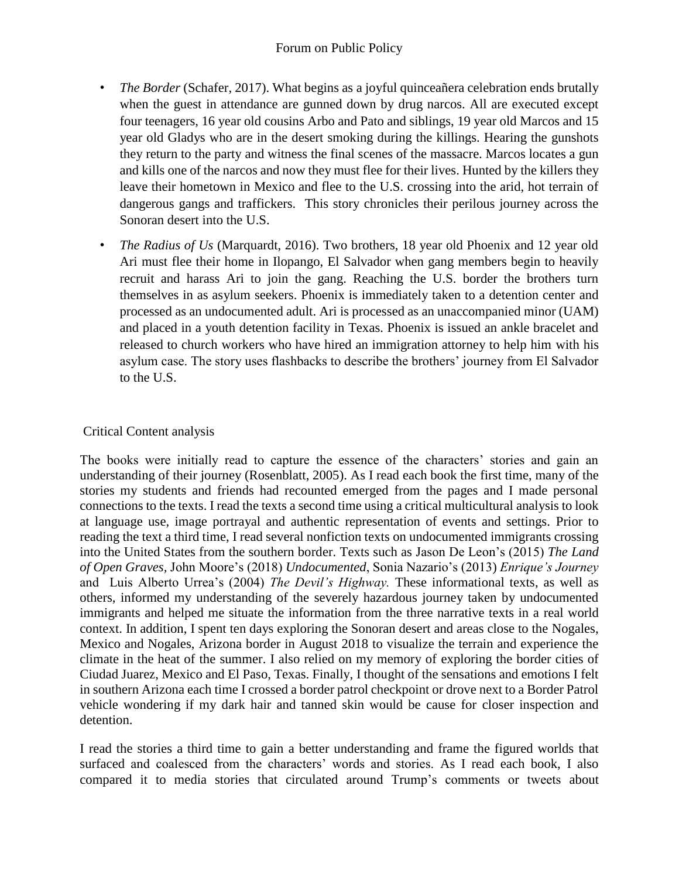- *The Border* (Schafer, 2017). What begins as a joyful quinceañera celebration ends brutally when the guest in attendance are gunned down by drug narcos. All are executed except four teenagers, 16 year old cousins Arbo and Pato and siblings, 19 year old Marcos and 15 year old Gladys who are in the desert smoking during the killings. Hearing the gunshots they return to the party and witness the final scenes of the massacre. Marcos locates a gun and kills one of the narcos and now they must flee for their lives. Hunted by the killers they leave their hometown in Mexico and flee to the U.S. crossing into the arid, hot terrain of dangerous gangs and traffickers. This story chronicles their perilous journey across the Sonoran desert into the U.S.
- *The Radius of Us* (Marquardt, 2016). Two brothers, 18 year old Phoenix and 12 year old Ari must flee their home in Ilopango, El Salvador when gang members begin to heavily recruit and harass Ari to join the gang. Reaching the U.S. border the brothers turn themselves in as asylum seekers. Phoenix is immediately taken to a detention center and processed as an undocumented adult. Ari is processed as an unaccompanied minor (UAM) and placed in a youth detention facility in Texas. Phoenix is issued an ankle bracelet and released to church workers who have hired an immigration attorney to help him with his asylum case. The story uses flashbacks to describe the brothers' journey from El Salvador to the U.S.

# Critical Content analysis

The books were initially read to capture the essence of the characters' stories and gain an understanding of their journey (Rosenblatt, 2005). As I read each book the first time, many of the stories my students and friends had recounted emerged from the pages and I made personal connections to the texts. I read the texts a second time using a critical multicultural analysis to look at language use, image portrayal and authentic representation of events and settings. Prior to reading the text a third time, I read several nonfiction texts on undocumented immigrants crossing into the United States from the southern border. Texts such as Jason De Leon's (2015) *The Land of Open Graves,* John Moore's (2018) *Undocumented*, Sonia Nazario's (2013) *Enrique's Journey* and Luis Alberto Urrea's (2004) *The Devil's Highway.* These informational texts, as well as others, informed my understanding of the severely hazardous journey taken by undocumented immigrants and helped me situate the information from the three narrative texts in a real world context. In addition, I spent ten days exploring the Sonoran desert and areas close to the Nogales, Mexico and Nogales, Arizona border in August 2018 to visualize the terrain and experience the climate in the heat of the summer. I also relied on my memory of exploring the border cities of Ciudad Juarez, Mexico and El Paso, Texas. Finally, I thought of the sensations and emotions I felt in southern Arizona each time I crossed a border patrol checkpoint or drove next to a Border Patrol vehicle wondering if my dark hair and tanned skin would be cause for closer inspection and detention.

I read the stories a third time to gain a better understanding and frame the figured worlds that surfaced and coalesced from the characters' words and stories. As I read each book, I also compared it to media stories that circulated around Trump's comments or tweets about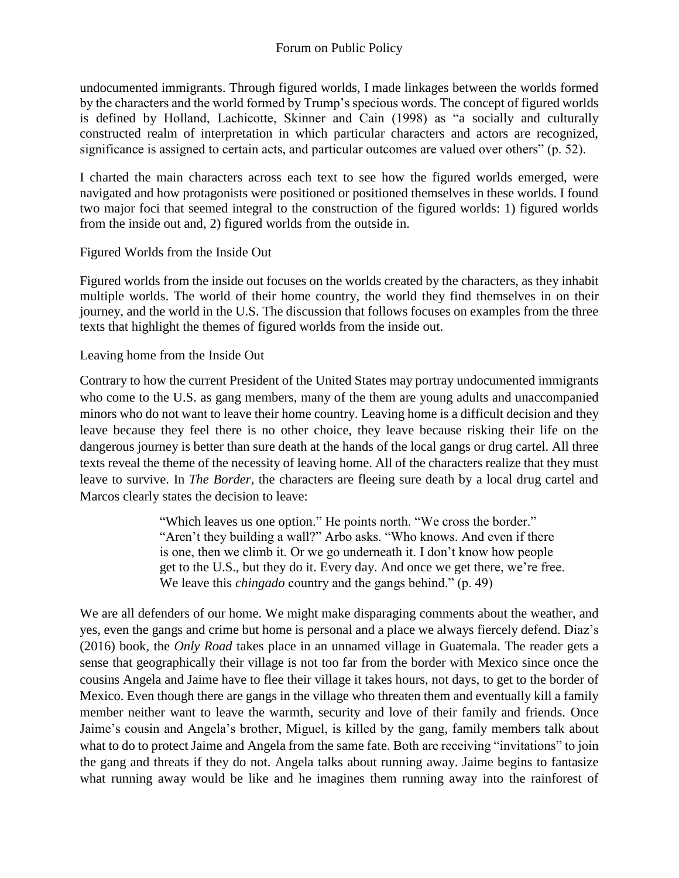undocumented immigrants. Through figured worlds, I made linkages between the worlds formed by the characters and the world formed by Trump's specious words. The concept of figured worlds is defined by Holland, Lachicotte, Skinner and Cain (1998) as "a socially and culturally constructed realm of interpretation in which particular characters and actors are recognized, significance is assigned to certain acts, and particular outcomes are valued over others" (p. 52).

I charted the main characters across each text to see how the figured worlds emerged, were navigated and how protagonists were positioned or positioned themselves in these worlds. I found two major foci that seemed integral to the construction of the figured worlds: 1) figured worlds from the inside out and, 2) figured worlds from the outside in.

### Figured Worlds from the Inside Out

Figured worlds from the inside out focuses on the worlds created by the characters, as they inhabit multiple worlds. The world of their home country, the world they find themselves in on their journey, and the world in the U.S. The discussion that follows focuses on examples from the three texts that highlight the themes of figured worlds from the inside out.

### Leaving home from the Inside Out

Contrary to how the current President of the United States may portray undocumented immigrants who come to the U.S. as gang members, many of the them are young adults and unaccompanied minors who do not want to leave their home country. Leaving home is a difficult decision and they leave because they feel there is no other choice, they leave because risking their life on the dangerous journey is better than sure death at the hands of the local gangs or drug cartel. All three texts reveal the theme of the necessity of leaving home. All of the characters realize that they must leave to survive. In *The Border*, the characters are fleeing sure death by a local drug cartel and Marcos clearly states the decision to leave:

> "Which leaves us one option." He points north. "We cross the border." "Aren't they building a wall?" Arbo asks. "Who knows. And even if there is one, then we climb it. Or we go underneath it. I don't know how people get to the U.S., but they do it. Every day. And once we get there, we're free. We leave this *chingado* country and the gangs behind." (p. 49)

We are all defenders of our home. We might make disparaging comments about the weather, and yes, even the gangs and crime but home is personal and a place we always fiercely defend. Diaz's (2016) book, the *Only Road* takes place in an unnamed village in Guatemala. The reader gets a sense that geographically their village is not too far from the border with Mexico since once the cousins Angela and Jaime have to flee their village it takes hours, not days, to get to the border of Mexico. Even though there are gangs in the village who threaten them and eventually kill a family member neither want to leave the warmth, security and love of their family and friends. Once Jaime's cousin and Angela's brother, Miguel, is killed by the gang, family members talk about what to do to protect Jaime and Angela from the same fate. Both are receiving "invitations" to join the gang and threats if they do not. Angela talks about running away. Jaime begins to fantasize what running away would be like and he imagines them running away into the rainforest of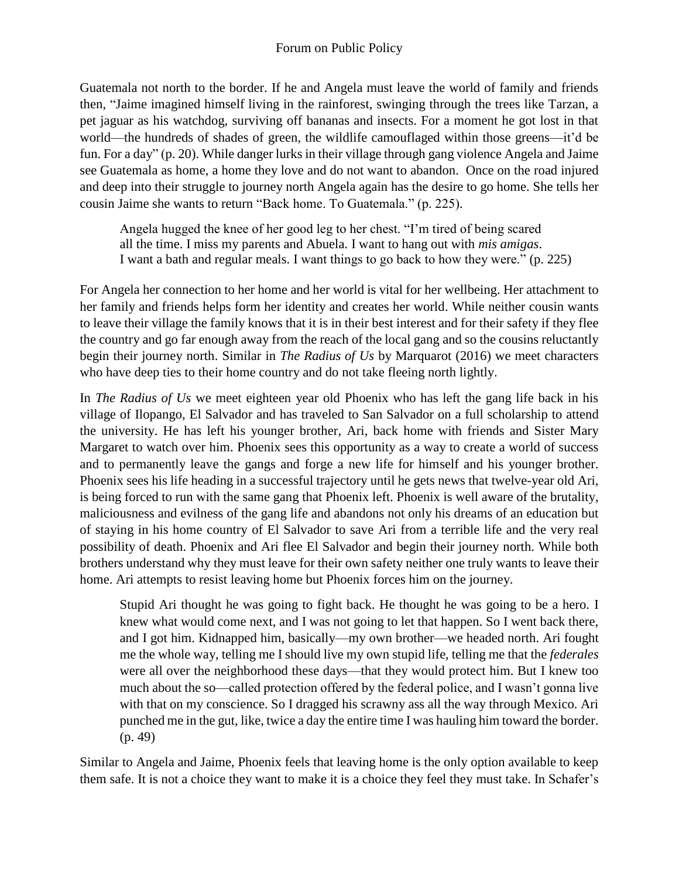Guatemala not north to the border. If he and Angela must leave the world of family and friends then, "Jaime imagined himself living in the rainforest, swinging through the trees like Tarzan, a pet jaguar as his watchdog, surviving off bananas and insects. For a moment he got lost in that world—the hundreds of shades of green, the wildlife camouflaged within those greens—it'd be fun. For a day" (p. 20). While danger lurks in their village through gang violence Angela and Jaime see Guatemala as home, a home they love and do not want to abandon. Once on the road injured and deep into their struggle to journey north Angela again has the desire to go home. She tells her cousin Jaime she wants to return "Back home. To Guatemala." (p. 225).

Angela hugged the knee of her good leg to her chest. "I'm tired of being scared all the time. I miss my parents and Abuela. I want to hang out with *mis amigas*. I want a bath and regular meals. I want things to go back to how they were." (p. 225)

For Angela her connection to her home and her world is vital for her wellbeing. Her attachment to her family and friends helps form her identity and creates her world. While neither cousin wants to leave their village the family knows that it is in their best interest and for their safety if they flee the country and go far enough away from the reach of the local gang and so the cousins reluctantly begin their journey north. Similar in *The Radius of Us* by Marquarot (2016) we meet characters who have deep ties to their home country and do not take fleeing north lightly.

In *The Radius of Us* we meet eighteen year old Phoenix who has left the gang life back in his village of Ilopango, El Salvador and has traveled to San Salvador on a full scholarship to attend the university. He has left his younger brother, Ari, back home with friends and Sister Mary Margaret to watch over him. Phoenix sees this opportunity as a way to create a world of success and to permanently leave the gangs and forge a new life for himself and his younger brother. Phoenix sees his life heading in a successful trajectory until he gets news that twelve-year old Ari, is being forced to run with the same gang that Phoenix left. Phoenix is well aware of the brutality, maliciousness and evilness of the gang life and abandons not only his dreams of an education but of staying in his home country of El Salvador to save Ari from a terrible life and the very real possibility of death. Phoenix and Ari flee El Salvador and begin their journey north. While both brothers understand why they must leave for their own safety neither one truly wants to leave their home. Ari attempts to resist leaving home but Phoenix forces him on the journey.

Stupid Ari thought he was going to fight back. He thought he was going to be a hero. I knew what would come next, and I was not going to let that happen. So I went back there, and I got him. Kidnapped him, basically—my own brother—we headed north. Ari fought me the whole way, telling me I should live my own stupid life, telling me that the *federales* were all over the neighborhood these days—that they would protect him. But I knew too much about the so—called protection offered by the federal police, and I wasn't gonna live with that on my conscience. So I dragged his scrawny ass all the way through Mexico. Ari punched me in the gut, like, twice a day the entire time I was hauling him toward the border. (p. 49)

Similar to Angela and Jaime, Phoenix feels that leaving home is the only option available to keep them safe. It is not a choice they want to make it is a choice they feel they must take. In Schafer's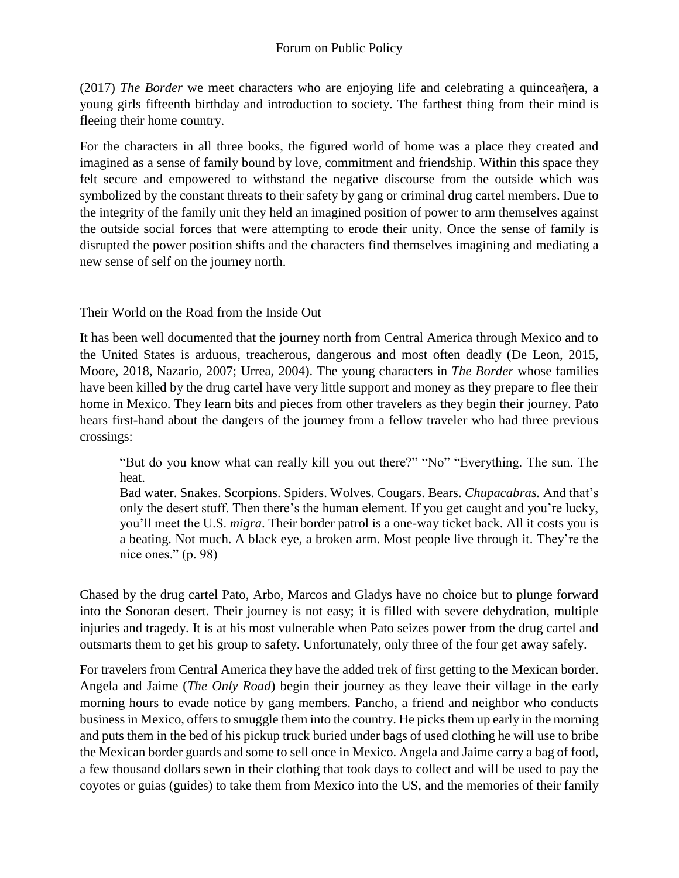(2017) *The Border* we meet characters who are enjoying life and celebrating a quinceaῆera, a young girls fifteenth birthday and introduction to society. The farthest thing from their mind is fleeing their home country.

For the characters in all three books, the figured world of home was a place they created and imagined as a sense of family bound by love, commitment and friendship. Within this space they felt secure and empowered to withstand the negative discourse from the outside which was symbolized by the constant threats to their safety by gang or criminal drug cartel members. Due to the integrity of the family unit they held an imagined position of power to arm themselves against the outside social forces that were attempting to erode their unity. Once the sense of family is disrupted the power position shifts and the characters find themselves imagining and mediating a new sense of self on the journey north.

Their World on the Road from the Inside Out

It has been well documented that the journey north from Central America through Mexico and to the United States is arduous, treacherous, dangerous and most often deadly (De Leon, 2015, Moore, 2018, Nazario, 2007; Urrea, 2004). The young characters in *The Border* whose families have been killed by the drug cartel have very little support and money as they prepare to flee their home in Mexico. They learn bits and pieces from other travelers as they begin their journey. Pato hears first-hand about the dangers of the journey from a fellow traveler who had three previous crossings:

"But do you know what can really kill you out there?" "No" "Everything. The sun. The heat.

Bad water. Snakes. Scorpions. Spiders. Wolves. Cougars. Bears. *Chupacabras.* And that's only the desert stuff. Then there's the human element. If you get caught and you're lucky, you'll meet the U.S. *migra*. Their border patrol is a one-way ticket back. All it costs you is a beating. Not much. A black eye, a broken arm. Most people live through it. They're the nice ones." (p. 98)

Chased by the drug cartel Pato, Arbo, Marcos and Gladys have no choice but to plunge forward into the Sonoran desert. Their journey is not easy; it is filled with severe dehydration, multiple injuries and tragedy. It is at his most vulnerable when Pato seizes power from the drug cartel and outsmarts them to get his group to safety. Unfortunately, only three of the four get away safely.

For travelers from Central America they have the added trek of first getting to the Mexican border. Angela and Jaime (*The Only Road*) begin their journey as they leave their village in the early morning hours to evade notice by gang members. Pancho, a friend and neighbor who conducts business in Mexico, offers to smuggle them into the country. He picks them up early in the morning and puts them in the bed of his pickup truck buried under bags of used clothing he will use to bribe the Mexican border guards and some to sell once in Mexico. Angela and Jaime carry a bag of food, a few thousand dollars sewn in their clothing that took days to collect and will be used to pay the coyotes or guias (guides) to take them from Mexico into the US, and the memories of their family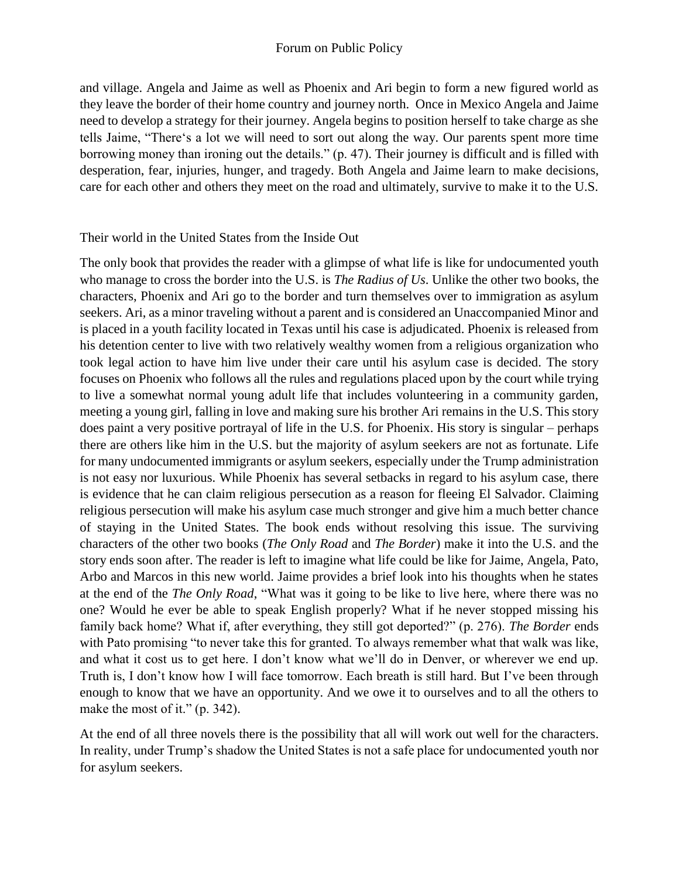and village. Angela and Jaime as well as Phoenix and Ari begin to form a new figured world as they leave the border of their home country and journey north. Once in Mexico Angela and Jaime need to develop a strategy for their journey. Angela begins to position herself to take charge as she tells Jaime, "There's a lot we will need to sort out along the way. Our parents spent more time borrowing money than ironing out the details." (p. 47). Their journey is difficult and is filled with desperation, fear, injuries, hunger, and tragedy. Both Angela and Jaime learn to make decisions, care for each other and others they meet on the road and ultimately, survive to make it to the U.S.

Their world in the United States from the Inside Out

The only book that provides the reader with a glimpse of what life is like for undocumented youth who manage to cross the border into the U.S. is *The Radius of Us*. Unlike the other two books, the characters, Phoenix and Ari go to the border and turn themselves over to immigration as asylum seekers. Ari, as a minor traveling without a parent and is considered an Unaccompanied Minor and is placed in a youth facility located in Texas until his case is adjudicated. Phoenix is released from his detention center to live with two relatively wealthy women from a religious organization who took legal action to have him live under their care until his asylum case is decided. The story focuses on Phoenix who follows all the rules and regulations placed upon by the court while trying to live a somewhat normal young adult life that includes volunteering in a community garden, meeting a young girl, falling in love and making sure his brother Ari remains in the U.S. This story does paint a very positive portrayal of life in the U.S. for Phoenix. His story is singular – perhaps there are others like him in the U.S. but the majority of asylum seekers are not as fortunate. Life for many undocumented immigrants or asylum seekers, especially under the Trump administration is not easy nor luxurious. While Phoenix has several setbacks in regard to his asylum case, there is evidence that he can claim religious persecution as a reason for fleeing El Salvador. Claiming religious persecution will make his asylum case much stronger and give him a much better chance of staying in the United States. The book ends without resolving this issue. The surviving characters of the other two books (*The Only Road* and *The Border*) make it into the U.S. and the story ends soon after. The reader is left to imagine what life could be like for Jaime, Angela, Pato, Arbo and Marcos in this new world. Jaime provides a brief look into his thoughts when he states at the end of the *The Only Road*, "What was it going to be like to live here, where there was no one? Would he ever be able to speak English properly? What if he never stopped missing his family back home? What if, after everything, they still got deported?" (p. 276). *The Border* ends with Pato promising "to never take this for granted. To always remember what that walk was like, and what it cost us to get here. I don't know what we'll do in Denver, or wherever we end up. Truth is, I don't know how I will face tomorrow. Each breath is still hard. But I've been through enough to know that we have an opportunity. And we owe it to ourselves and to all the others to make the most of it." (p. 342).

At the end of all three novels there is the possibility that all will work out well for the characters. In reality, under Trump's shadow the United States is not a safe place for undocumented youth nor for asylum seekers.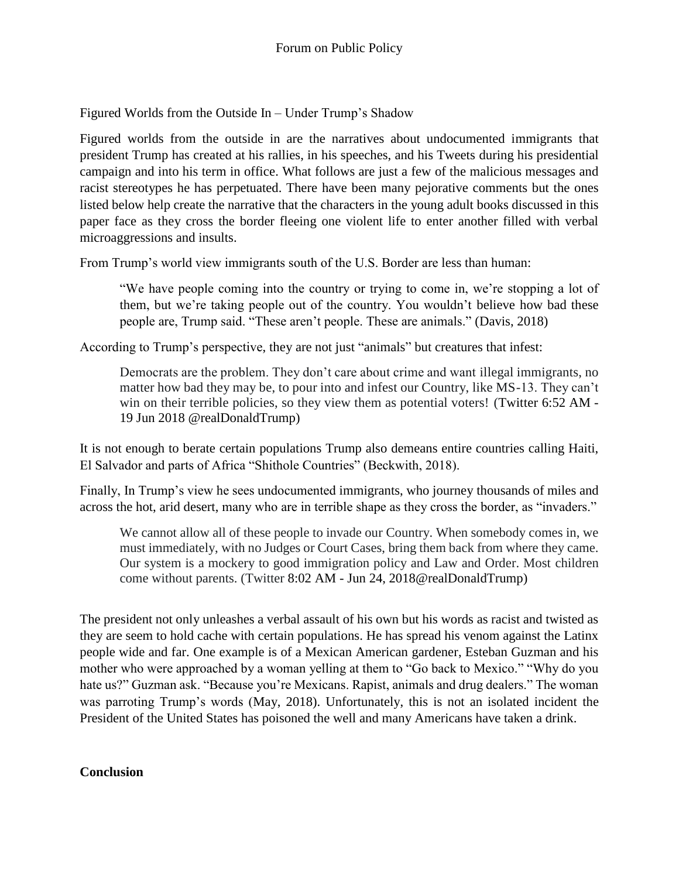Figured Worlds from the Outside In – Under Trump's Shadow

Figured worlds from the outside in are the narratives about undocumented immigrants that president Trump has created at his rallies, in his speeches, and his Tweets during his presidential campaign and into his term in office. What follows are just a few of the malicious messages and racist stereotypes he has perpetuated. There have been many pejorative comments but the ones listed below help create the narrative that the characters in the young adult books discussed in this paper face as they cross the border fleeing one violent life to enter another filled with verbal microaggressions and insults.

From Trump's world view immigrants south of the U.S. Border are less than human:

"We have people coming into the country or trying to come in, we're stopping a lot of them, but we're taking people out of the country. You wouldn't believe how bad these people are, Trump said. "These aren't people. These are animals." (Davis, 2018)

According to Trump's perspective, they are not just "animals" but creatures that infest:

Democrats are the problem. They don't care about crime and want illegal immigrants, no matter how bad they may be, to pour into and infest our Country, like MS-13. They can't win on their terrible policies, so they view them as potential voters! (Twitter 6:52 AM -19 Jun 2018 @realDonaldTrump)

It is not enough to berate certain populations Trump also demeans entire countries calling Haiti, El Salvador and parts of Africa "Shithole Countries" (Beckwith, 2018).

Finally, In Trump's view he sees undocumented immigrants, who journey thousands of miles and across the hot, arid desert, many who are in terrible shape as they cross the border, as "invaders."

We cannot allow all of these people to invade our Country. When somebody comes in, we must immediately, with no Judges or Court Cases, bring them back from where they came. Our system is a mockery to good immigration policy and Law and Order. Most children come without parents. (Twitter 8:02 AM - [Jun 24, 2018@](https://twitter.com/realDonaldTrump/status/1010900865602019329)realDonaldTrump)

The president not only unleashes a verbal assault of his own but his words as racist and twisted as they are seem to hold cache with certain populations. He has spread his venom against the Latinx people wide and far. One example is of a Mexican American gardener, Esteban Guzman and his mother who were approached by a woman yelling at them to "Go back to Mexico." "Why do you hate us?" Guzman ask. "Because you're Mexicans. Rapist, animals and drug dealers." The woman was parroting Trump's words (May, 2018). Unfortunately, this is not an isolated incident the President of the United States has poisoned the well and many Americans have taken a drink.

# **Conclusion**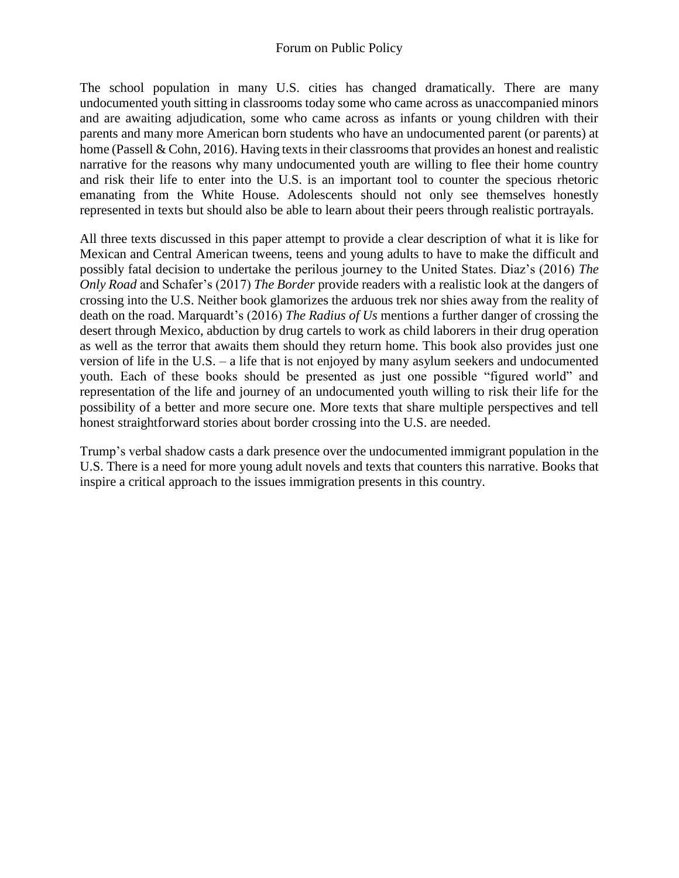The school population in many U.S. cities has changed dramatically. There are many undocumented youth sitting in classrooms today some who came across as unaccompanied minors and are awaiting adjudication, some who came across as infants or young children with their parents and many more American born students who have an undocumented parent (or parents) at home (Passell  $& Cohn, 2016$ ). Having texts in their classrooms that provides an honest and realistic narrative for the reasons why many undocumented youth are willing to flee their home country and risk their life to enter into the U.S. is an important tool to counter the specious rhetoric emanating from the White House. Adolescents should not only see themselves honestly represented in texts but should also be able to learn about their peers through realistic portrayals.

All three texts discussed in this paper attempt to provide a clear description of what it is like for Mexican and Central American tweens, teens and young adults to have to make the difficult and possibly fatal decision to undertake the perilous journey to the United States. Diaz's (2016) *The Only Road* and Schafer's (2017) *The Border* provide readers with a realistic look at the dangers of crossing into the U.S. Neither book glamorizes the arduous trek nor shies away from the reality of death on the road. Marquardt's (2016) *The Radius of Us* mentions a further danger of crossing the desert through Mexico, abduction by drug cartels to work as child laborers in their drug operation as well as the terror that awaits them should they return home. This book also provides just one version of life in the U.S. – a life that is not enjoyed by many asylum seekers and undocumented youth. Each of these books should be presented as just one possible "figured world" and representation of the life and journey of an undocumented youth willing to risk their life for the possibility of a better and more secure one. More texts that share multiple perspectives and tell honest straightforward stories about border crossing into the U.S. are needed.

Trump's verbal shadow casts a dark presence over the undocumented immigrant population in the U.S. There is a need for more young adult novels and texts that counters this narrative. Books that inspire a critical approach to the issues immigration presents in this country.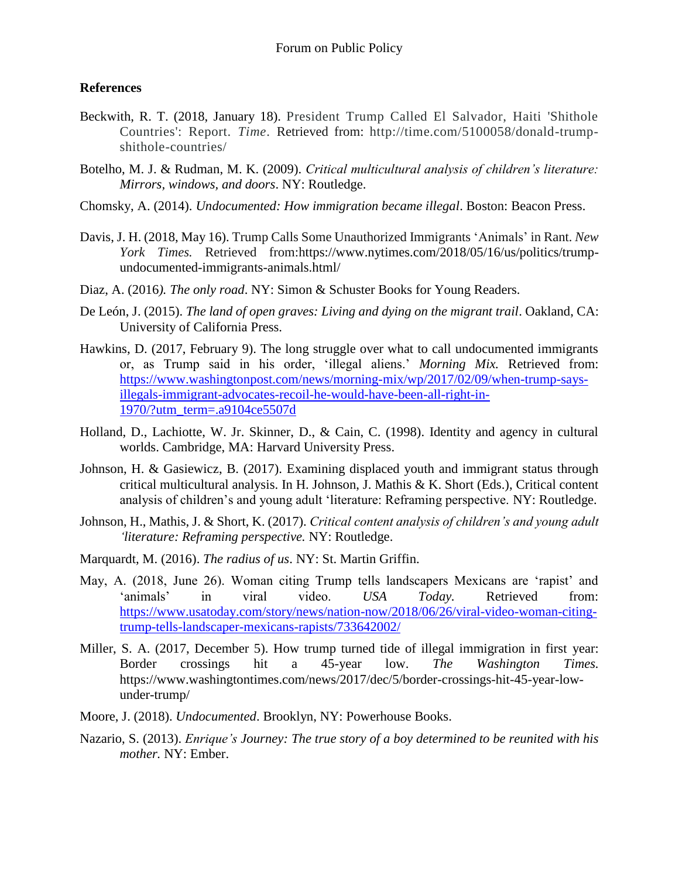#### **References**

- Beckwith, R. T. (2018, January 18). President Trump Called El Salvador, Haiti 'Shithole Countries': Report. *Time*. Retrieved from: http://time.com/5100058/donald-trumpshithole-countries/
- Botelho, M. J. & Rudman, M. K. (2009). *Critical multicultural analysis of children's literature: Mirrors, windows, and doors*. NY: Routledge.
- Chomsky, A. (2014). *Undocumented: How immigration became illegal*. Boston: Beacon Press.
- Davis, J. H. (2018, May 16). Trump Calls Some Unauthorized Immigrants 'Animals' in Rant. *New York Times.* Retrieved from:https://www.nytimes.com/2018/05/16/us/politics/trumpundocumented-immigrants-animals.html/
- Diaz, A. (2016*). The only road*. NY: Simon & Schuster Books for Young Readers.
- De León, J. (2015). *The land of open graves: Living and dying on the migrant trail.* Oakland, CA: University of California Press.
- Hawkins, D. (2017, February 9). The long struggle over what to call undocumented immigrants or, as Trump said in his order, 'illegal aliens.' *Morning Mix.* Retrieved from: [https://www.washingtonpost.com/news/morning-mix/wp/2017/02/09/when-trump-says](https://www.washingtonpost.com/news/morning-mix/wp/2017/02/09/when-trump-says-illegals-immigrant-advocates-recoil-he-would-have-been-all-right-in-1970/?utm_term=.a9104ce5507d)[illegals-immigrant-advocates-recoil-he-would-have-been-all-right-in-](https://www.washingtonpost.com/news/morning-mix/wp/2017/02/09/when-trump-says-illegals-immigrant-advocates-recoil-he-would-have-been-all-right-in-1970/?utm_term=.a9104ce5507d)[1970/?utm\\_term=.a9104ce5507d](https://www.washingtonpost.com/news/morning-mix/wp/2017/02/09/when-trump-says-illegals-immigrant-advocates-recoil-he-would-have-been-all-right-in-1970/?utm_term=.a9104ce5507d)
- Holland, D., Lachiotte, W. Jr. Skinner, D., & Cain, C. (1998). Identity and agency in cultural worlds. Cambridge, MA: Harvard University Press.
- Johnson, H. & Gasiewicz, B. (2017). Examining displaced youth and immigrant status through critical multicultural analysis. In H. Johnson, J. Mathis & K. Short (Eds.), Critical content analysis of children's and young adult 'literature: Reframing perspective. NY: Routledge.
- Johnson, H., Mathis, J. & Short, K. (2017). *Critical content analysis of children's and young adult 'literature: Reframing perspective.* NY: Routledge.
- Marquardt, M. (2016). *The radius of us*. NY: St. Martin Griffin.
- May, A. (2018, June 26). Woman citing Trump tells landscapers Mexicans are 'rapist' and 'animals' in viral video. *USA Today.* Retrieved from: [https://www.usatoday.com/story/news/nation-now/2018/06/26/viral-video-woman-citing](https://www.usatoday.com/story/news/nation-now/2018/06/26/viral-video-woman-citing-trump-tells-landscaper-mexicans-rapists/733642002/)[trump-tells-landscaper-mexicans-rapists/733642002/](https://www.usatoday.com/story/news/nation-now/2018/06/26/viral-video-woman-citing-trump-tells-landscaper-mexicans-rapists/733642002/)
- Miller, S. A. (2017, December 5). How trump turned tide of illegal immigration in first year: Border crossings hit a 45-year low. *The Washington Times.* https://www.washingtontimes.com/news/2017/dec/5/border-crossings-hit-45-year-lowunder-trump/
- Moore, J. (2018). *Undocumented*. Brooklyn, NY: Powerhouse Books.
- Nazario, S. (2013). *Enrique's Journey: The true story of a boy determined to be reunited with his mother.* NY: Ember.